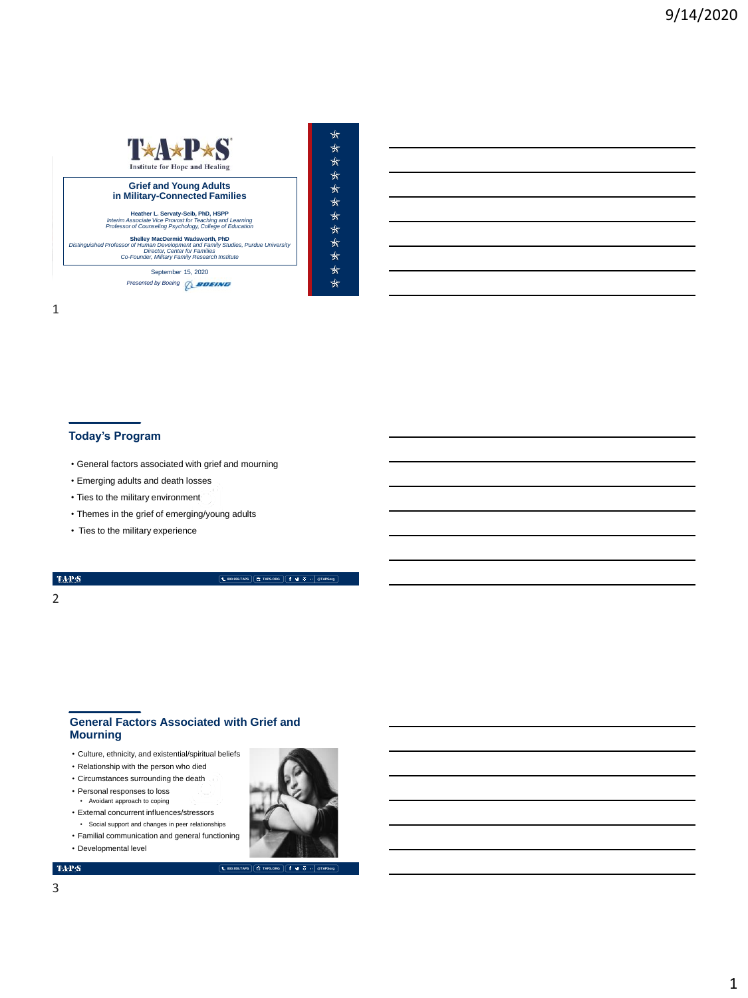## T\*A\*P\*S  $\star$  $\star$ **Institute for Hope and Healing** \*\*\*\*\*\*\*\*\* **Grief and Young Adults<br>in Military-Connected Families Heather L. Servaty-Seib, PhD, HSPP** *Interim Associate Vice Provost for Teaching and Learning Professor of Counseling Psychology, College of Education* **Shelley MacDermid Wadsworth, PhD** *Distinguished Professor of Human Development and Family Studies, Purdue University Director, Center for Families Co-Founder, Military Family Research Institute* l Protessor of Human Development and Family Studies, Purc<br>Director, Center for Families<br>Co-Founder. Militarv Family Research Institute September 15, 2020 **Presented by Boeing** *Q\_BOEING*

## 1

## **Today's Program**

- General factors associated with grief and mourning
- Emerging adults and death losses
- Ties to the military environment
- Themes in the grief of emerging/young adults
- Ties to the military experience

## TAP $\mathbf S$

## **800.959.TAPS TAPS.ORG @TAPSorg**

★

्<br>श्र

## 2

## **General Factors Associated with Grief and Mourning**

- Culture, ethnicity, and existential/spiritual beliefs
- Relationship with the person who died
- Circumstances surrounding the death
- Personal responses to loss • Avoidant approach to coping
- External concurrent influences/stressors • Social support and changes in peer relationships
- Familial communication and general functioning
- Developmental level

## $\mathbf{TAPS}$

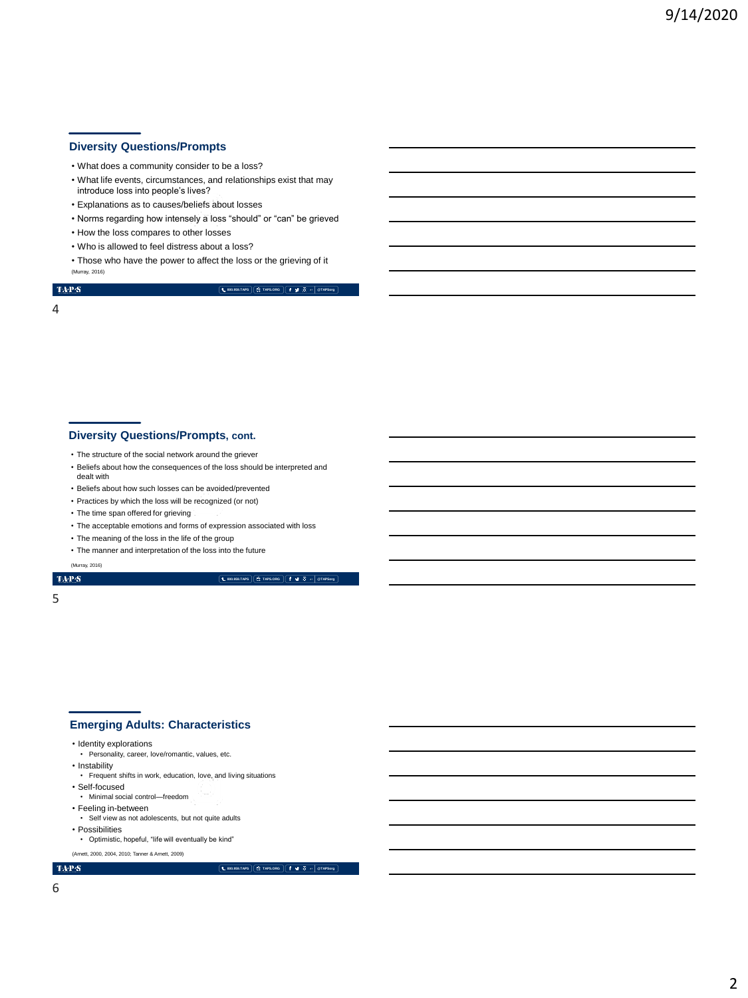## **Diversity Questions/Prompts**

- What does a community consider to be a loss?
- What life events, circumstances, and relationships exist that may introduce loss into people's lives?
- Explanations as to causes/beliefs about losses
- Norms regarding how intensely a loss "should" or "can" be grieved
- How the loss compares to other losses
- Who is allowed to feel distress about a loss?
- Those who have the power to affect the loss or the grieving of it (Murray, 2016)

 $\mathrm{TAP}S$ 

## **800.959.TAPS TAPS.ORG @TAPSorg**

4

## **Diversity Questions/Prompts, cont.**

- The structure of the social network around the griever
- Beliefs about how the consequences of the loss should be interpreted and dealt with
- Beliefs about how such losses can be avoided/prevented
- Practices by which the loss will be recognized (or not)
- The time span offered for grieving
- The acceptable emotions and forms of expression associated with loss
- The meaning of the loss in the life of the group
- The manner and interpretation of the loss into the future

(Murray, 2016)

## $\mathrm{TaP}\mathcal{S}$

**800.959.TAPS TAPS.ORG @TAPSorg**

## 5

### **Emerging Adults: Characteristics**

- Identity explorations
- Personality, career, love/romantic, values, etc.
- Instability
- Frequent shifts in work, education, love, and living situations
- Self-focused
- Minimal social control—freedom
- Feeling in-between
- Self view as not adolescents, but not quite adults
- Possibilities
- Optimistic, hopeful, "life will eventually be kind"

(Arnett, 2000, 2004, 2010; Tanner & Arnett, 2009)

#### **800.959.TAPS TAPS.ORG @TAPSorg**

 $\mathbf{TAPS}$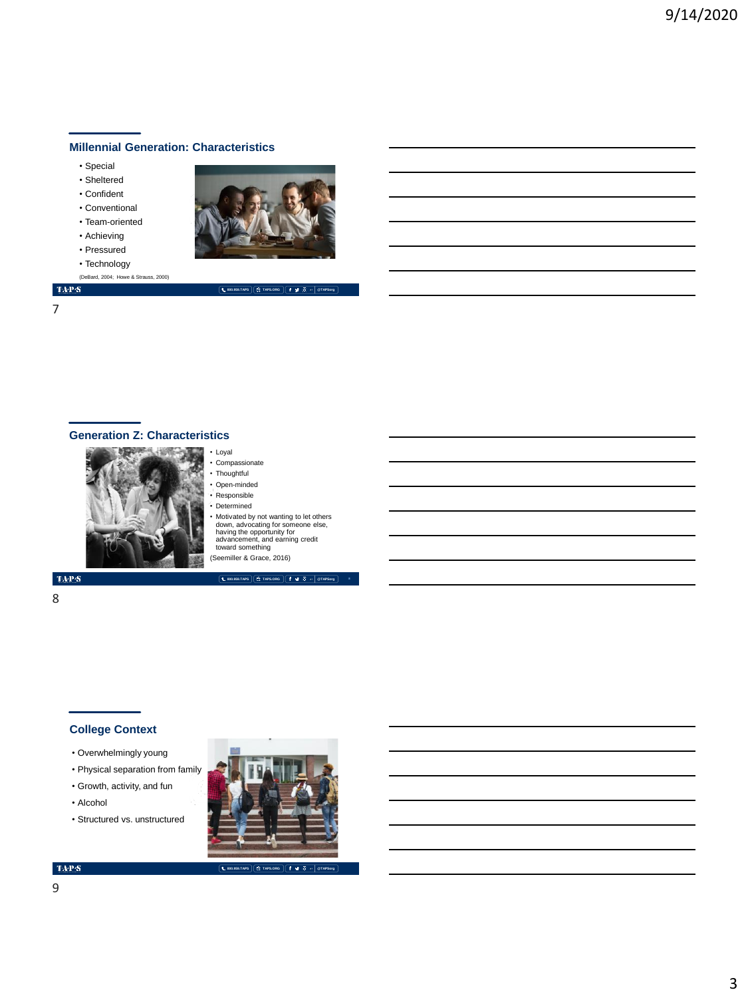## **Millennial Generation: Characteristics**

- Special
- Sheltered
- Confident
- Conventional
- Team-oriented
- Achieving
- Pressured
- Technology
- (DeBard, 2004; Howe & Strauss, 2000)

 $\mathrm{TAP}S$ 7



**800.959.TAPS TAPS.ORG @TAPSorg**

# **Generation Z: Characteristics**



• Compassionate • Thoughtful

• Loyal

- Open-minded
- Responsible
- Determined • Motivated by not wanting to let others down, advocating for someone else, having the opportunity for advancement, and earning credit toward something

**800.959.TAPS TAPS.ORG @TAPSorg**

(Seemiller & Grace, 2016)

 $\langle \mathbf{T} \mathbf{A} \mathbf{P} \mathbf{S}$ 

## 8

## **College Context**

- Overwhelmingly young
- Physical separation from family
- Growth, activity, and fun
- Alcohol
- Structured vs. unstructured



#### **800.959.TAPS TAPS.ORG @TAPSorg**

 $\mathrm{TAP}S$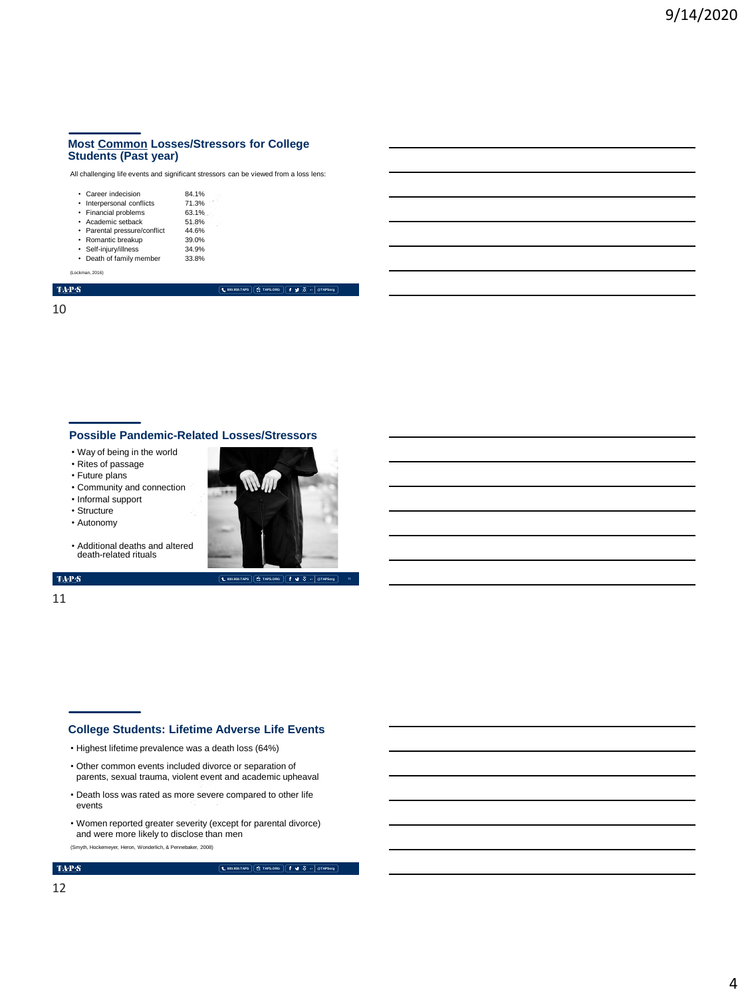## **Most Common Losses/Stressors for College Students (Past year)**

All challenging life events and significant stressors can be viewed from a loss lens:

| • Career indecision          | 84.1% |  |
|------------------------------|-------|--|
| • Interpersonal conflicts    | 71.3% |  |
| • Financial problems         | 63.1% |  |
| · Academic setback           | 51.8% |  |
| • Parental pressure/conflict | 44.6% |  |
| • Romantic breakup           | 39.0% |  |
| · Self-iniurv/illness        | 34.9% |  |
| • Death of family member     | 33.8% |  |
|                              |       |  |

(Lockman, 2016)

 $\langle \mathbf{TAP} \cdot \mathbf{S} \rangle$ 

10

## **Possible Pandemic-Related Losses/Stressors**

- Way of being in the world
- Rites of passage
- Future plans
- Community and connection

• Additional deaths and altered death-related rituals

- Informal support
- Structure
- Autonomy
- 

**800.959.TAPS TAPS.ORG @TAPSorg**

**800.959.TAPS TAPS.ORG @TAPSorg**



### TAP $\mathbf S$

11

## **College Students: Lifetime Adverse Life Events**

- Highest lifetime prevalence was a death loss (64%)
- Other common events included divorce or separation of parents, sexual trauma, violent event and academic upheaval
- Death loss was rated as more severe compared to other life events
- Women reported greater severity (except for parental divorce) and were more likely to disclose than men

(Smyth, Hockemeyer, Heron, Wonderlich, & Pennebaker, 2008)

**800.959.TAPS TAPS.ORG @TAPSorg**

 $\mbox{TA-PS}$ 

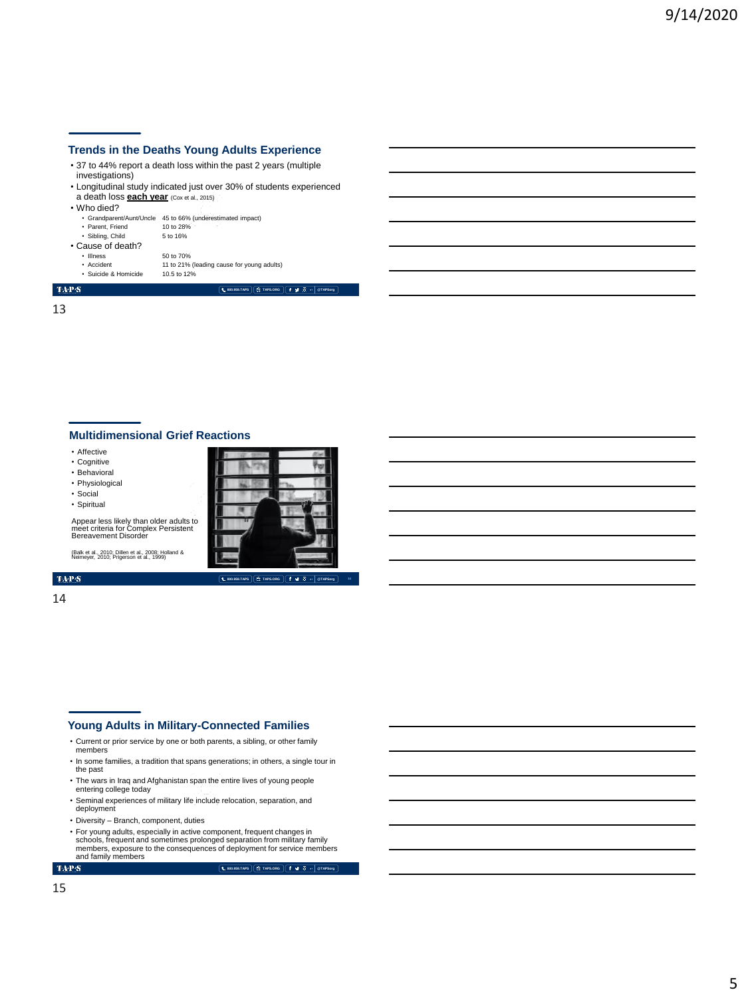## **Trends in the Deaths Young Adults Experience**

- 37 to 44% report a death loss within the past 2 years (multiple investigations)
- Longitudinal study indicated just over 30% of students experienced a death loss **each year** (Cox et al., 2015)
- Who died?

| .                 |                                                            |
|-------------------|------------------------------------------------------------|
|                   | • Grandparent/Aunt/Uncle 45 to 66% (underestimated impact) |
| • Parent, Friend  | 10 to 28%                                                  |
| · Sibling, Child  | 5 to 16%                                                   |
| • Cause of death? |                                                            |
| • Illness         | 50 to 70%                                                  |
| • Accident        | 11 to 21% (leading cause for young adults)                 |
|                   |                                                            |

• Suicide & Homicide 10.5 to 12%

**800.959.TAPS TAPS.ORG @TAPSorg**

 $\langle \mathbf{T} \mathbf{A} \mathbf{P} \mathbf{S}$ 13

## **Multidimensional Grief Reactions**

**The State** 

• Affective

- Cognitive
- Behavioral
- Physiological • Social

• Spiritual

Appear less likely than older adults to meet criteria for Complex Persistent Bereavement Disorder

**800.959.TAPS TAPS.ORG @TAPSorg**

(Balk et al., 2010; Dillen et al., 2008; Holland & Neimeyer, 2010; Prigerson et al., 1999)

## TAP $\mathbf S$

14

## **Young Adults in Military-Connected Families**

- Current or prior service by one or both parents, a sibling, or other family members
- In some families, a tradition that spans generations; in others, a single tour in the past
- The wars in Iraq and Afghanistan span the entire lives of young people entering college today
- Seminal experiences of military life include relocation, separation, and deployment
- 
- Diversity Branch, component, duties
- For young adults, especially in active component, frequent changes in schools, frequent and sometimes prolonged separation from military family members, exposure to the consequences of deployment for service members and family members

 $\mathbf{TAPS}$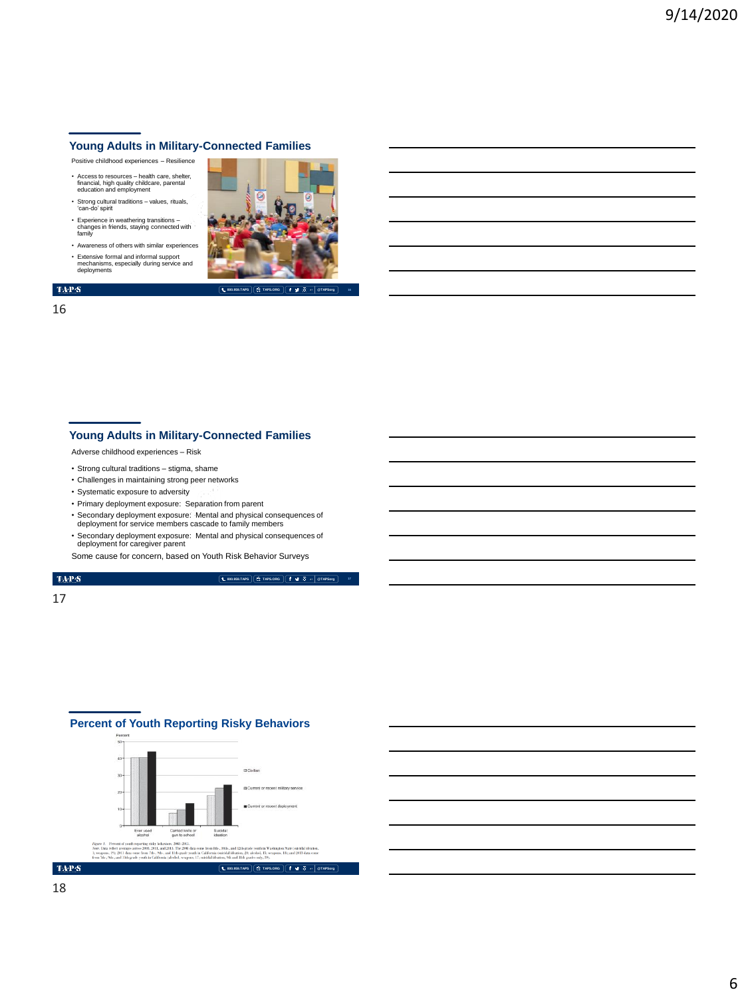## **Young Adults in Military-Connected Families** Positive childhood experiences – Resilience

- Access to resources health care, shelter, financial, high quality childcare, parental education and employment
- Strong cultural traditions values, rituals, 'can-do' spirit
- Experience in weathering transitions changes in friends, staying connected with family
- Awareness of others with similar experiences • Extensive formal and informal support mechanisms, especially during service and deployments





**800.959.TAPS TAPS.ORG @TAPSorg 16**

## 16

## **Young Adults in Military-Connected Families**

Adverse childhood experiences – Risk

- Strong cultural traditions stigma, shame
- Challenges in maintaining strong peer networks
- Systematic exposure to adversity
- Primary deployment exposure: Separation from parent
- Secondary deployment exposure: Mental and physical consequences of deployment for service members cascade to family members
- Secondary deployment exposure: Mental and physical consequences of deployment for caregiver parent
- Some cause for concern, based on Youth Risk Behavior Surveys

## $\mathrm{TAP}S$

**800.959.TAPS TAPS.ORG @TAPSorg**

## 17



## **Percent of Youth Reporting Risky Behaviors**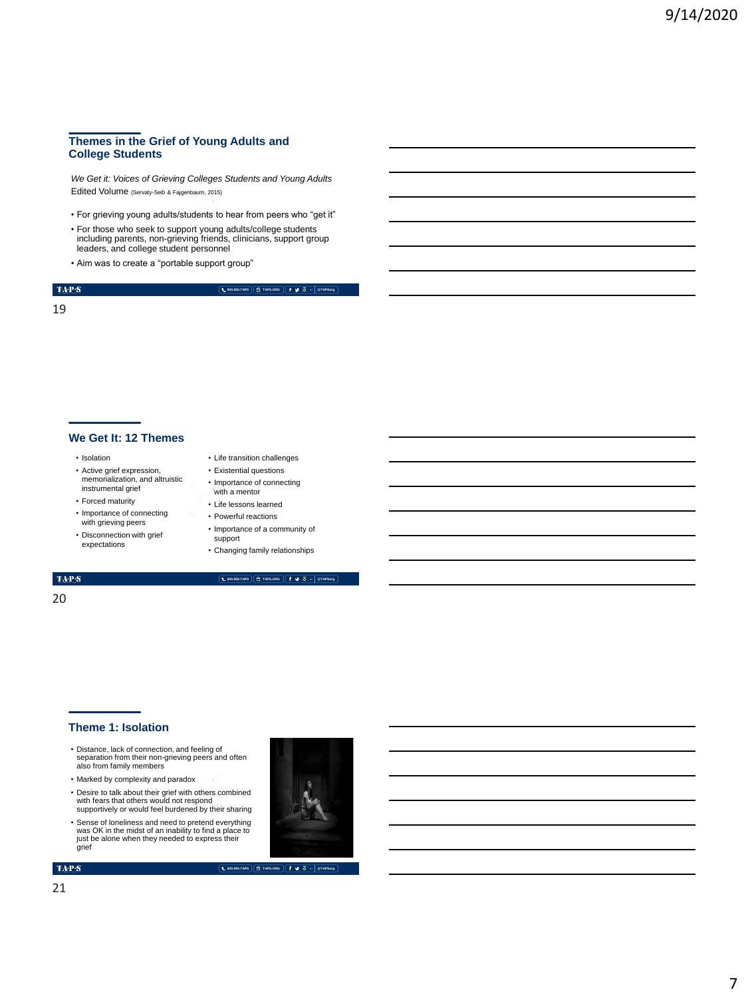## **Themes in the Grief of Young Adults and College Students**

*We Get it: Voices of Grieving Colleges Students and Young Adults* Edited Volume (Servaty-Seib & Fajgenbaum, 2015)

- For grieving young adults/students to hear from peers who "get it"
- For those who seek to support young adults/college students including parents, non-grieving friends, clinicians, support group leaders, and college student personnel
- Aim was to create a "portable support group"

## $\mathrm{TAP}S$ 19

**800.959.TAPS TAPS.ORG @TAPSorg**

## **We Get It: 12 Themes**

- Isolation
- Active grief expression, memorialization, and altruistic instrumental grief
- Forced maturity
- Importance of connecting with grieving peers
- Disconnection with grief expectations
- Life transition challenges
- Existential questions • Importance of connecting
- with a mentor • Life lessons learned
- Powerful reactions
- Importance of a community of support
- Changing family relationships

#### **800.959.TAPS TAPS.ORG @TAPSorg**

## TAP $\mathbf S$ 20

## **Theme 1: Isolation**

- Distance, lack of connection, and feeling of separation from their non-grieving peers and often also from family members
- Marked by complexity and paradox
- Desire to talk about their grief with others combined with fears that others would not respond supportively or would feel burdened by their sharing
- Sense of loneliness and need to pretend everything was OK in the midst of an inability to find a place to just be alone when they needed to express their grief

 $\mathbf{TAPS}$ 

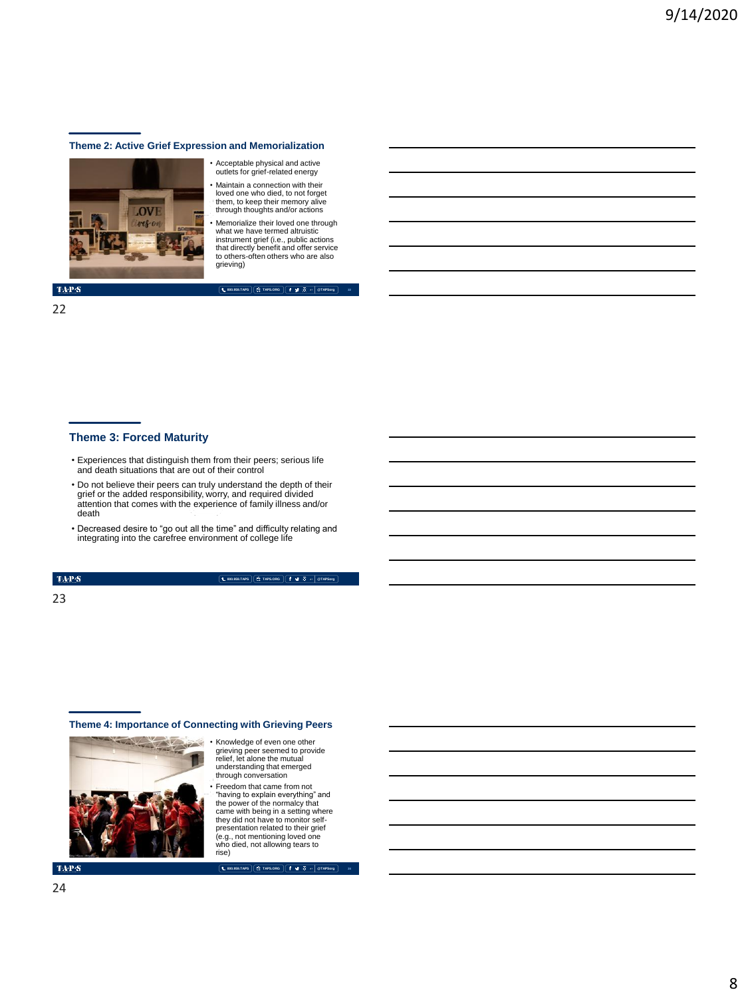#### **Theme 2: Active Grief Expression and Memorialization**



• Acceptable physical and active outlets for grief-related energy

• Maintain a connection with their loved one who died, to not forget them, to keep their memory alive through thoughts and/or actions

• Memorialize their loved one through what we have termed altruistic instrument grief (i.e., public actions that directly benefit and offer service to others-often others who are also grieving)

**800.959.TAPS TAPS.ORG @TAPSorg**

**22**

## **TAPS**

#### 22

## **Theme 3: Forced Maturity**

- Experiences that distinguish them from their peers; serious life and death situations that are out of their control
- Do not believe their peers can truly understand the depth of their grief or the added responsibility, worry, and required divided attention that comes with the experience of family illness and/or death
- Decreased desire to "go out all the time" and difficulty relating and integrating into the carefree environment of college life

#### TAP $\mathbf S$

**800.959.TAPS TAPS.ORG @TAPSorg**

## 23

## **Theme 4: Importance of Connecting with Grieving Peers**



• Knowledge of even one other grieving peer seemed to provide relief, let alone the mutual understanding that emerged through conversation • Freedom that came from not

"having to explain everything" and the power of the normalcy that came with being in a setting where they did not have to monitor selfpresentation related to their grief (e.g., not mentioning loved one who died, not allowing tears to rise)

**TAPS** 

**800.959.TAPS TAPS.ORG @TAPSorg**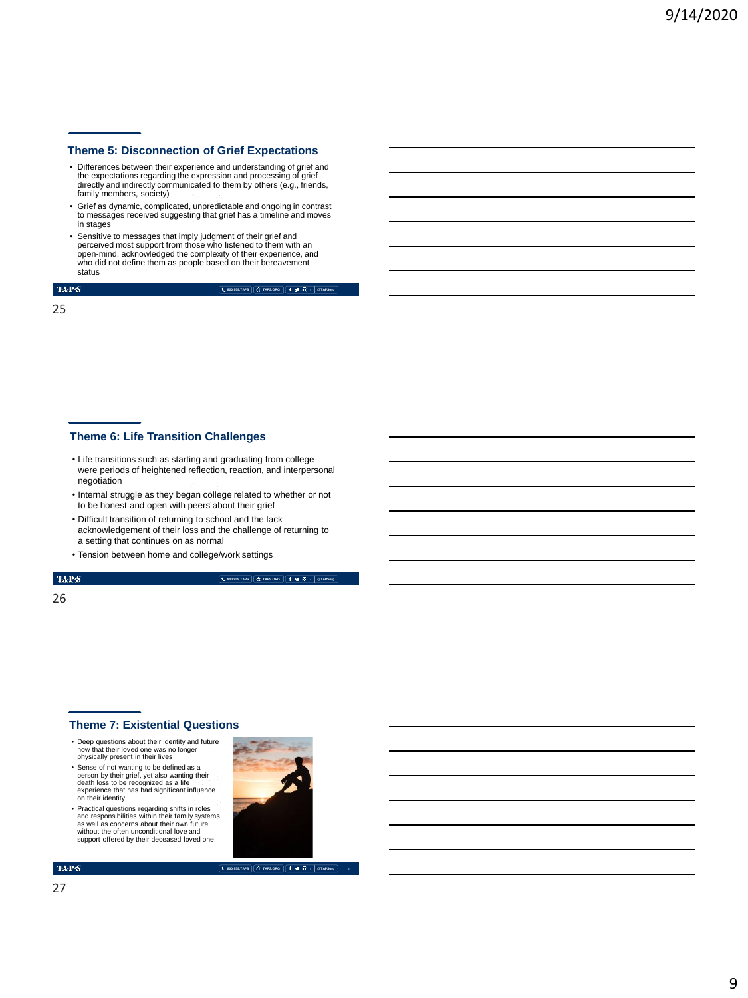## **Theme 5: Disconnection of Grief Expectations**

- Differences between their experience and understanding of grief and the expectations regarding the expression and processing of grief directly and indirectly communicated to them by others (e.g., friends, family members, society)
- Grief as dynamic, complicated, unpredictable and ongoing in contrast to messages received suggesting that grief has a timeline and moves in stages
- Sensitive to messages that imply judgment of their grief and perceived most support from those who listened to them with an open-mind, acknowledged the complexity of their experience, and who did not define them as people based on their bereavement status

 $\mathrm{TAP}S$ 

**800.959.TAPS TAPS.ORG @TAPSorg**

25

## **Theme 6: Life Transition Challenges**

- Life transitions such as starting and graduating from college were periods of heightened reflection, reaction, and interpersonal negotiation
- Internal struggle as they began college related to whether or not to be honest and open with peers about their grief
- Difficult transition of returning to school and the lack acknowledgement of their loss and the challenge of returning to a setting that continues on as normal
- Tension between home and college/work settings

 $\langle \text{TA-P-S} \rangle$ 

## **800.959.TAPS TAPS.ORG @TAPSorg**

## 26

## **Theme 7: Existential Questions**

- Deep questions about their identity and future now that their loved one was no longer physically present in their lives
- Sense of not wanting to be defined as a person by their grief, yet also wanting their death loss to be recognized as a life experience that has had significant influence on their identity
- Practical questions regarding shifts in roles and responsibilities within their family systems as well as concerns about their own future without the often unconditional love and support offered by their deceased loved one



### $\mbox{TA-PS}$

**800.959.TAPS TAPS.ORG @TAPSorg**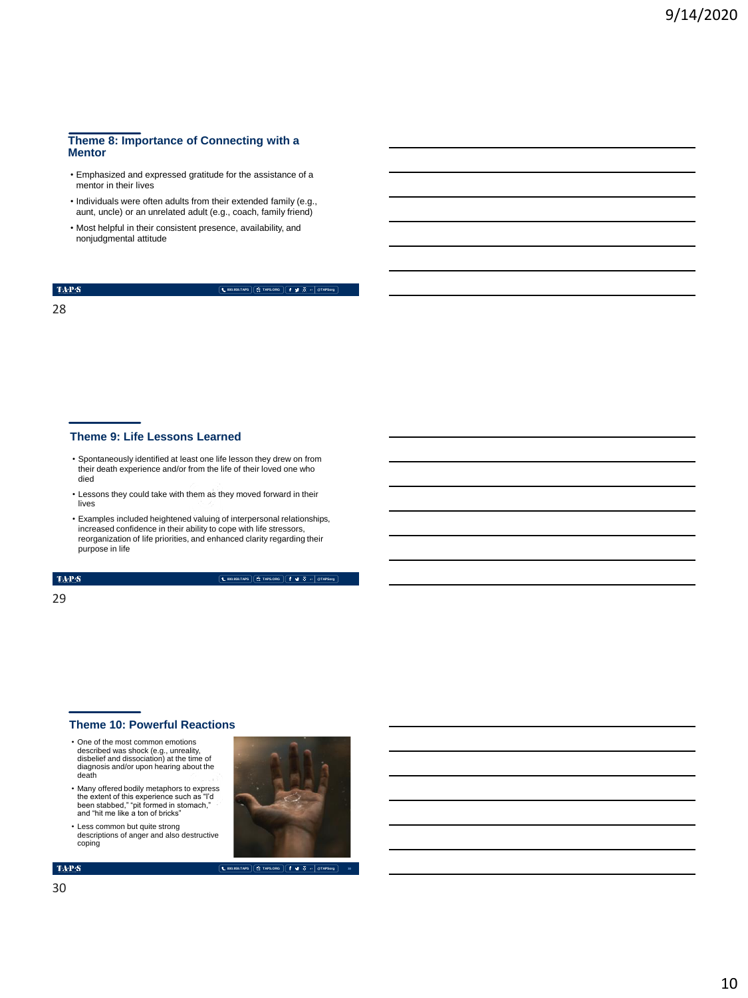## **Theme 8: Importance of Connecting with a Mentor**

- Emphasized and expressed gratitude for the assistance of a mentor in their lives
- Individuals were often adults from their extended family (e.g., aunt, uncle) or an unrelated adult (e.g., coach, family friend)
- Most helpful in their consistent presence, availability, and nonjudgmental attitude

#### $\mathrm{TAP}S$

**800.959.TAPS TAPS.ORG @TAPSorg**

28

## **Theme 9: Life Lessons Learned**

- Spontaneously identified at least one life lesson they drew on from their death experience and/or from the life of their loved one who died
- Lessons they could take with them as they moved forward in their lives
- Examples included heightened valuing of interpersonal relationships, increased confidence in their ability to cope with life stressors, reorganization of life priorities, and enhanced clarity regarding their purpose in life

TAP $\mathbf S$ 

**800.959.TAPS TAPS.ORG @TAPSorg**

#### 29

## **Theme 10: Powerful Reactions**

- One of the most common emotions described was shock (e.g., unreality, disbelief and dissociation) at the time of diagnosis and/or upon hearing about the death
- Many offered bodily metaphors to express the extent of this experience such as "I'd been stabbed," "pit formed in stomach," and "hit me like a ton of bricks"
- Less common but quite strong descriptions of anger and also destructive coping





**800.959.TAPS TAPS.ORG @TAPSorg**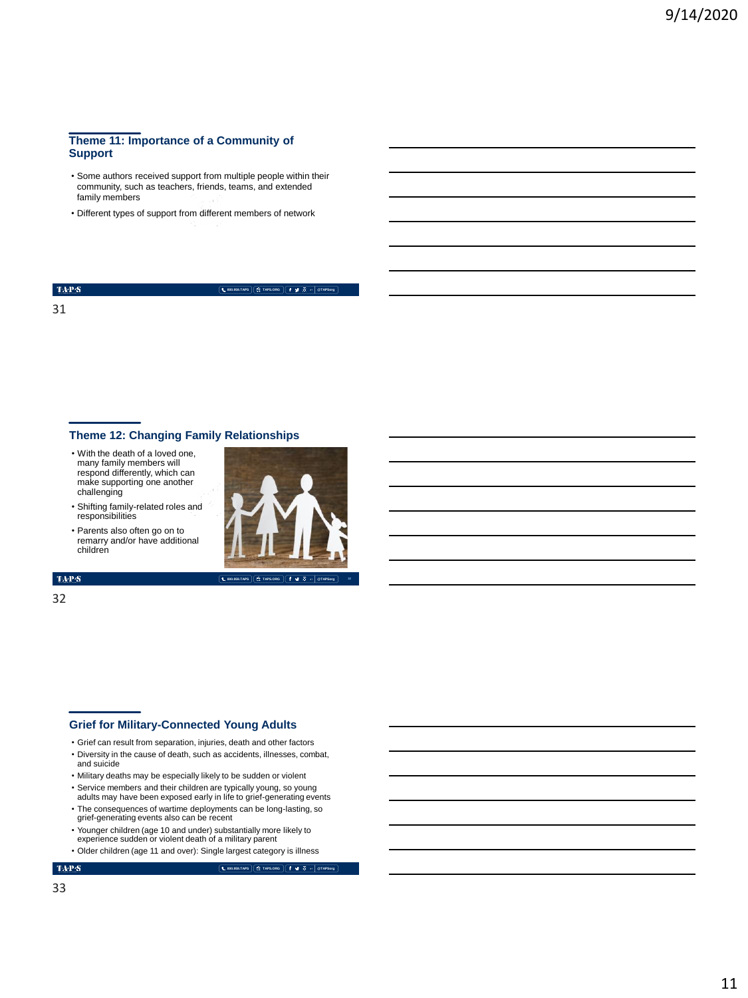## **Theme 11: Importance of a Community of Support**

- Some authors received support from multiple people within their community, such as teachers, friends, teams, and extended family members
- Different types of support from different members of network

 $\mathrm{TAP}S$ 31

**800.959.TAPS TAPS.ORG @TAPSorg**

## **Theme 12: Changing Family Relationships**

- With the death of a loved one, many family members will respond differently, which can make supporting one another challenging
- Shifting family-related roles and responsibilities
- Parents also often go on to remarry and/or have additional children



#### TAP $\mathbf S$

32

## **Grief for Military-Connected Young Adults**

- Grief can result from separation, injuries, death and other factors
- Diversity in the cause of death, such as accidents, illnesses, combat, and suicide
- Military deaths may be especially likely to be sudden or violent
- Service members and their children are typically young, so young adults may have been exposed early in life to grief-generating events
- The consequences of wartime deployments can be long-lasting, so grief-generating events also can be recent
- Younger children (age 10 and under) substantially more likely to experience sudden or violent death of a military parent
- Older children (age 11 and over): Single largest category is illness
- $\mathbf{TAPS}$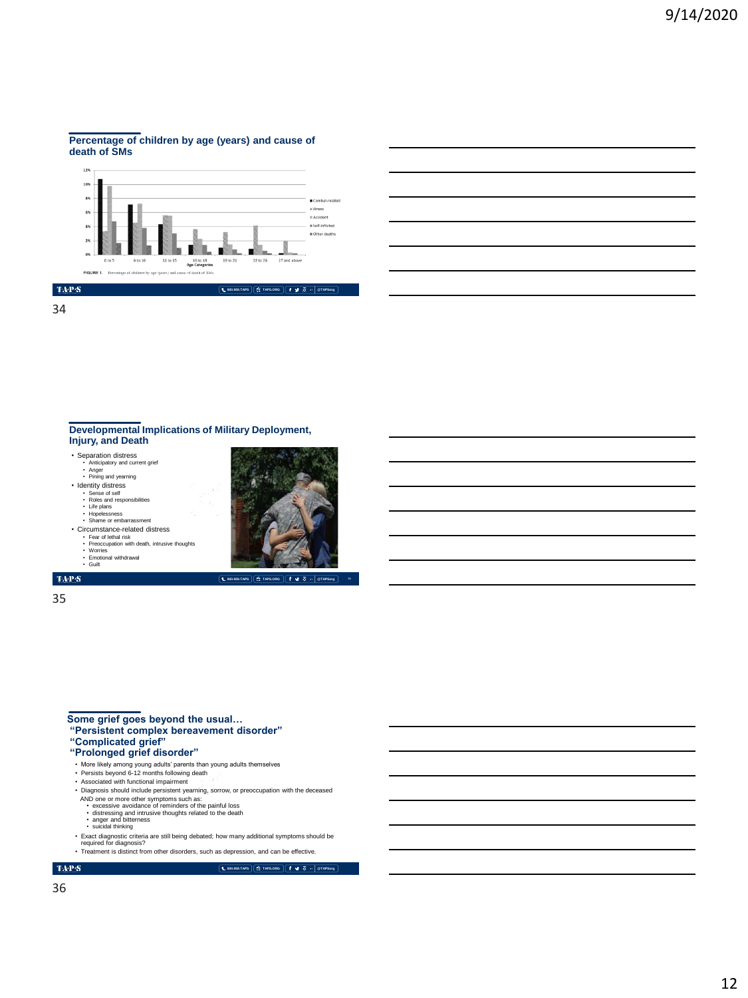#### **Percentage of children by age (years) and cause of death of SMs**



34

## **Developmental Implications of Military Deployment, Injury, and Death**

- Separation distress Anticipatory and current grief
- Anger Pining and yearning
- Identity distress
- Sense of self Roles and responsibilities
- Life plans Hopelessness
- Shame or embarrassment
- Circumstance-related distress
- Fear of lethal risk Preoccupation with death, intrusive thoughts
- 
- Worries Emotional withdrawal Guilt

 $\mathrm{TAP}S$ 



**800.959.TAPS TAPS.ORG @TAPSorg**

## 35

**Some grief goes beyond the usual… "Persistent complex bereavement disorder"**

**"Complicated grief"**

## **"Prolonged grief disorder"**

- 
- More likely among young adults' parents than young adults themselves Persists beyond 6-12 months following death Associated with functional impairment
- 
- Diagnosis should include persistent yearning, sorrow, or preoccupation with the deceased
- AND one or more other symptoms such as:<br>• excessive avoidance of reminders of the painful loss<br>• distressing and intrusive thoughts related to the death<br>• anger and bitterness<br>• suicidal thinking
- 
- 
- Exact diagnostic criteria are still being debated; how many additional symptoms should be<br>required for diagnosis?<br>• Treatment is distinct from other disorders, such as depression, and can be effective.
- 

### $\mathbf{TAPS}$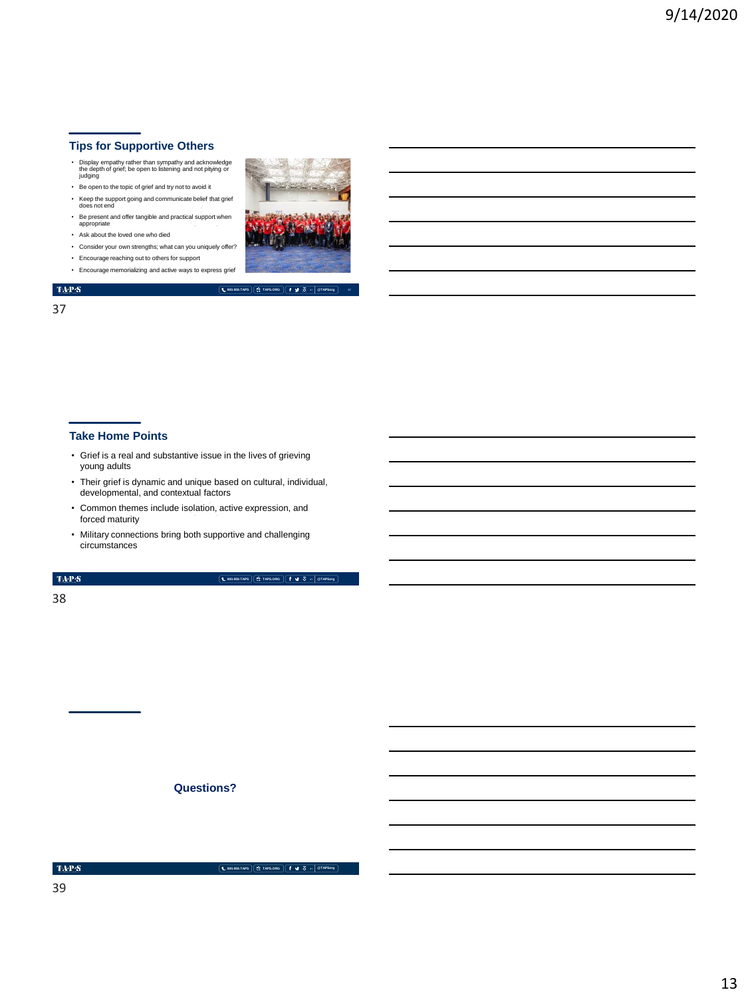## **Tips for Supportive Others**

- Display empathy rather than sympathy and acknowledge the depth of grief; be open to listening and not pitying or judging
- Be open to the topic of grief and try not to avoid it
- Keep the support going and communicate belief that grief does not end • Be present and offer tangible and practical support when appropriate
- Ask about the loved one who died
- Consider your own strengths; what can you uniquely offer?
- Encourage reaching out to others for support
- Encourage memorializing and active ways to express grief
- $\langle \mathbf{T} \mathbf{A} \mathbf{P} \mathbf{S} \rangle$

37



**800.959.TAPS TAPS.ORG @TAPSorg**

- **Take Home Points**
- Grief is a real and substantive issue in the lives of grieving young adults
- Their grief is dynamic and unique based on cultural, individual, developmental, and contextual factors
- Common themes include isolation, active expression, and forced maturity
- Military connections bring both supportive and challenging circumstances

### $\langle \mathbf{T} \mathbf{A} \mathbf{P} \mathbf{S}$

**800.959.TAPS TAPS.ORG @TAPSorg**

38

**Questions?**

 $\mbox{TA-PS}$ 

**800.959.TAPS TAPS.ORG @TAPSorg**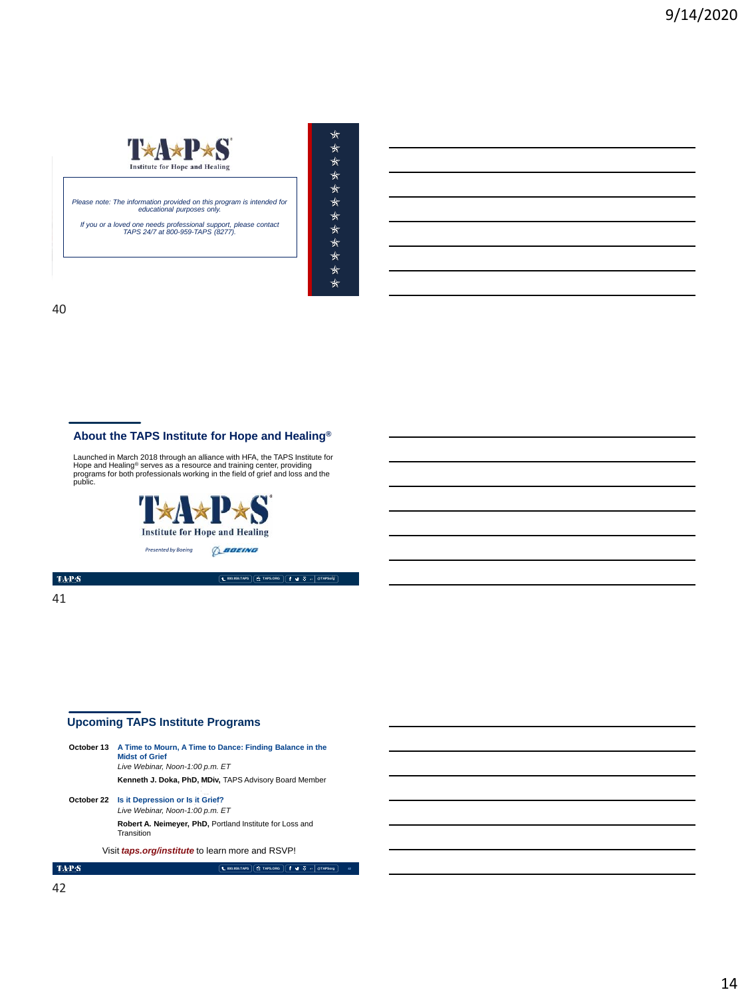

*Please note: The information provided on this program is intended for educational purposes only.* 

*If you or a loved one needs professional support, please contact TAPS 24/7 at 800-959-TAPS (8277).* 

MEMORIAL DAY WEEKEND | MAY 2018

| ⊀⊤ |
|----|
| ∗  |
| ⋠  |
| ⊀⊤ |
| ⊀⊤ |
| ⊀⊤ |
| ⋠  |
| ∗  |
| ⊀⊤ |
| ⊀  |
| ⊀⊤ |
| ∗  |
|    |

40

## **About the TAPS Institute for Hope and Healing®**

Launched in March 2018 through an alliance with HFA, the TAPS Institute for<br>Hope and Healing<sup>®</sup> serves as a resource and training center, providing<br>programs for both professionals working in the field of grief and loss and



**800.959.TAPS TAPS.ORG @TAPSorg** 41

 $\mbox{TA-PS}$ 

41

## **Upcoming TAPS Institute Programs**

|            | <b>October 13</b> A Time to Mourn, A Time to Dance: Finding Balance in the<br><b>Midst of Grief</b><br>Live Webinar, Noon-1:00 p.m. ET |
|------------|----------------------------------------------------------------------------------------------------------------------------------------|
|            | Kenneth J. Doka, PhD, MDiv, TAPS Advisory Board Member                                                                                 |
| October 22 | Is it Depression or Is it Grief?<br>Live Webinar, Noon-1:00 p.m. ET                                                                    |
|            | Robert A. Neimeyer, PhD, Portland Institute for Loss and<br>Transition                                                                 |
|            | Visit <i>taps.org/institute</i> to learn more and RSVP!                                                                                |
|            | <b>E TAPS.ORG</b><br>● 10 →<br>1.800.959.TAPS<br><b>@TAPSore</b>                                                                       |